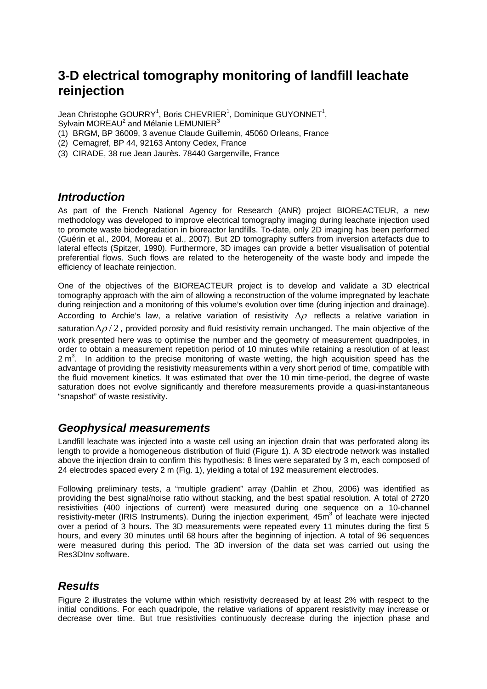# **3-D electrical tomography monitoring of landfill leachate reinjection**

Jean Christophe GOURRY<sup>1</sup>, Boris CHEVRIER<sup>1</sup>, Dominique GUYONNET<sup>1</sup>, Sylvain MOREAU<sup>2</sup> and Mélanie LEMUNIER<sup>3</sup>

- (1) BRGM, BP 36009, 3 avenue Claude Guillemin, 45060 Orleans, France
- (2) Cemagref, BP 44, 92163 Antony Cedex, France
- (3) CIRADE, 38 rue Jean Jaurès. 78440 Gargenville, France

#### *Introduction*

As part of the French National Agency for Research (ANR) project BIOREACTEUR, a new methodology was developed to improve electrical tomography imaging during leachate injection used to promote waste biodegradation in bioreactor landfills. To-date, only 2D imaging has been performed (Guérin et al., 2004, Moreau et al., 2007). But 2D tomography suffers from inversion artefacts due to lateral effects (Spitzer, 1990). Furthermore, 3D images can provide a better visualisation of potential preferential flows. Such flows are related to the heterogeneity of the waste body and impede the efficiency of leachate reinjection.

One of the objectives of the BIOREACTEUR project is to develop and validate a 3D electrical tomography approach with the aim of allowing a reconstruction of the volume impregnated by leachate during reinjection and a monitoring of this volume's evolution over time (during injection and drainage). According to Archie's law, a relative variation of resistivity  $\Delta \rho$  reflects a relative variation in saturation  $\Delta\rho/2$ , provided porosity and fluid resistivity remain unchanged. The main objective of the work presented here was to optimise the number and the geometry of measurement quadripoles, in order to obtain a measurement repetition period of 10 minutes while retaining a resolution of at least  $2 \text{ m}^3$ . In addition to the precise monitoring of waste wetting, the high acquisition speed has the advantage of providing the resistivity measurements within a very short period of time, compatible with the fluid movement kinetics. It was estimated that over the 10 min time-period, the degree of waste saturation does not evolve significantly and therefore measurements provide a quasi-instantaneous "snapshot" of waste resistivity.

## *Geophysical measurements*

Landfill leachate was injected into a waste cell using an injection drain that was perforated along its length to provide a homogeneous distribution of fluid (Figure 1). A 3D electrode network was installed above the injection drain to confirm this hypothesis: 8 lines were separated by 3 m, each composed of 24 electrodes spaced every 2 m (Fig. 1), yielding a total of 192 measurement electrodes.

Following preliminary tests, a "multiple gradient" array (Dahlin et Zhou, 2006) was identified as providing the best signal/noise ratio without stacking, and the best spatial resolution. A total of 2720 resistivities (400 injections of current) were measured during one sequence on a 10-channel resistivity-meter (IRIS Instruments). During the injection experiment, 45m<sup>3</sup> of leachate were injected over a period of 3 hours. The 3D measurements were repeated every 11 minutes during the first 5 hours, and every 30 minutes until 68 hours after the beginning of injection. A total of 96 sequences were measured during this period. The 3D inversion of the data set was carried out using the Res3DInv software.

## *Results*

Figure 2 illustrates the volume within which resistivity decreased by at least 2% with respect to the initial conditions. For each quadripole, the relative variations of apparent resistivity may increase or decrease over time. But true resistivities continuously decrease during the injection phase and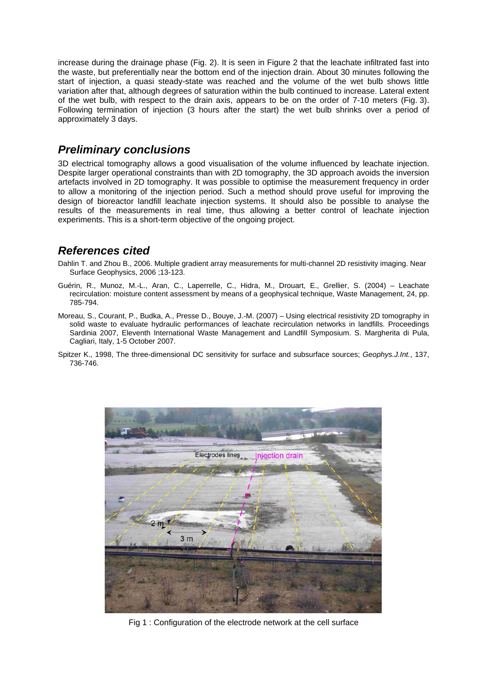increase during the drainage phase (Fig. 2). It is seen in Figure 2 that the leachate infiltrated fast into the waste, but preferentially near the bottom end of the injection drain. About 30 minutes following the start of injection, a quasi steady-state was reached and the volume of the wet bulb shows little variation after that, although degrees of saturation within the bulb continued to increase. Lateral extent of the wet bulb, with respect to the drain axis, appears to be on the order of 7-10 meters (Fig. 3). Following termination of injection (3 hours after the start) the wet bulb shrinks over a period of approximately 3 days.

#### *Preliminary conclusions*

3D electrical tomography allows a good visualisation of the volume influenced by leachate injection. Despite larger operational constraints than with 2D tomography, the 3D approach avoids the inversion artefacts involved in 2D tomography. It was possible to optimise the measurement frequency in order to allow a monitoring of the injection period. Such a method should prove useful for improving the design of bioreactor landfill leachate injection systems. It should also be possible to analyse the results of the measurements in real time, thus allowing a better control of leachate injection experiments. This is a short-term objective of the ongoing project.

## *References cited*

Dahlin T. and Zhou B., 2006. Multiple gradient array measurements for multi-channel 2D resistivity imaging. Near Surface Geophysics, 2006 ;13-123.

- Guérin, R., Munoz, M.-L., Aran, C., Laperrelle, C., Hidra, M., Drouart, E., Grellier, S. (2004) Leachate recirculation: moisture content assessment by means of a geophysical technique, Waste Management, 24, pp. 785-794.
- Moreau, S., Courant, P., Budka, A., Presse D., Bouye, J.-M. (2007) Using electrical resistivity 2D tomography in solid waste to evaluate hydraulic performances of leachate recirculation networks in landfills. Proceedings Sardinia 2007, Eleventh International Waste Management and Landfill Symposium. S. Margherita di Pula, Cagliari, Italy, 1-5 October 2007.
- Spitzer K., 1998, The three-dimensional DC sensitivity for surface and subsurface sources; *Geophys.J.Int.*, 137, 736-746.



Fig 1 : Configuration of the electrode network at the cell surface